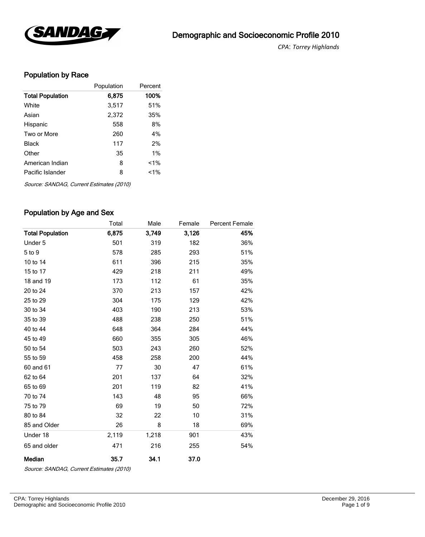

*CPA*: *Torrey Highlands* 

## Population by Race

|                         | Population | Percent |
|-------------------------|------------|---------|
| <b>Total Population</b> | 6,875      | 100%    |
| White                   | 3,517      | 51%     |
| Asian                   | 2,372      | 35%     |
| Hispanic                | 558        | 8%      |
| Two or More             | 260        | 4%      |
| Black                   | 117        | 2%      |
| Other                   | 35         | $1\%$   |
| American Indian         | 8          | $1\%$   |
| Pacific Islander        | 8          | $1\%$   |

Source: SANDAG, Current Estimates (2010)

#### Population by Age and Sex

|                         | Total | Male  | Female | <b>Percent Female</b> |
|-------------------------|-------|-------|--------|-----------------------|
| <b>Total Population</b> | 6,875 | 3,749 | 3,126  | 45%                   |
| Under 5                 | 501   | 319   | 182    | 36%                   |
| 5 to 9                  | 578   | 285   | 293    | 51%                   |
| 10 to 14                | 611   | 396   | 215    | 35%                   |
| 15 to 17                | 429   | 218   | 211    | 49%                   |
| 18 and 19               | 173   | 112   | 61     | 35%                   |
| 20 to 24                | 370   | 213   | 157    | 42%                   |
| 25 to 29                | 304   | 175   | 129    | 42%                   |
| 30 to 34                | 403   | 190   | 213    | 53%                   |
| 35 to 39                | 488   | 238   | 250    | 51%                   |
| 40 to 44                | 648   | 364   | 284    | 44%                   |
| 45 to 49                | 660   | 355   | 305    | 46%                   |
| 50 to 54                | 503   | 243   | 260    | 52%                   |
| 55 to 59                | 458   | 258   | 200    | 44%                   |
| 60 and 61               | 77    | 30    | 47     | 61%                   |
| 62 to 64                | 201   | 137   | 64     | 32%                   |
| 65 to 69                | 201   | 119   | 82     | 41%                   |
| 70 to 74                | 143   | 48    | 95     | 66%                   |
| 75 to 79                | 69    | 19    | 50     | 72%                   |
| 80 to 84                | 32    | 22    | 10     | 31%                   |
| 85 and Older            | 26    | 8     | 18     | 69%                   |
| Under 18                | 2,119 | 1,218 | 901    | 43%                   |
| 65 and older            | 471   | 216   | 255    | 54%                   |
| Median                  | 35.7  | 34.1  | 37.0   |                       |

Source: SANDAG, Current Estimates (2010)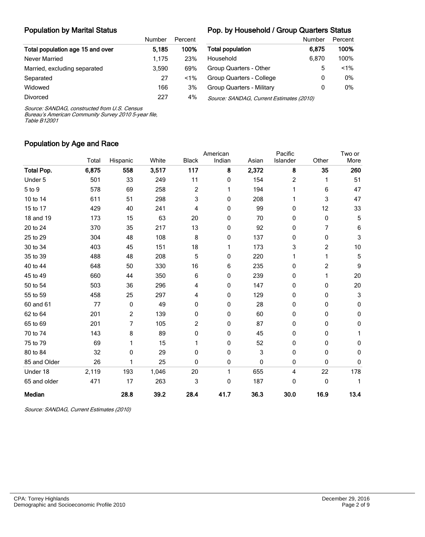#### Population by Marital Status

#### Pop. by Household / Group Quarters Status

|                                  | Number | Percent |     |
|----------------------------------|--------|---------|-----|
| Total population age 15 and over | 5.185  | 100%    | Tot |
| Never Married                    | 1.175  | 23%     | Ho  |
| Married, excluding separated     | 3.590  | 69%     | Gro |
| Separated                        | 27     | $1\%$   | Gro |
| Widowed                          | 166    | 3%      | Gro |
| <b>Divorced</b>                  | 227    | 4%      | Sol |

|                                          | Number | Percent |
|------------------------------------------|--------|---------|
| <b>Total population</b>                  | 6.875  | 100%    |
| Household                                | 6,870  | 100%    |
| Group Quarters - Other                   | 5      | $1\%$   |
| Group Quarters - College                 | O      | 0%      |
| Group Quarters - Military                | O      | 0%      |
| Source: SANDAG, Current Estimates (2010) |        |         |

Source: SANDAG, constructed from U.S. Census

Bureau's American Community Survey 2010 5-year file, Table B12001

#### Population by Age and Race

|                   |       |                |       |              | American | Pacific |                |       | Two or                    |
|-------------------|-------|----------------|-------|--------------|----------|---------|----------------|-------|---------------------------|
|                   | Total | Hispanic       | White | <b>Black</b> | Indian   | Asian   | Islander       | Other | More                      |
| <b>Total Pop.</b> | 6,875 | 558            | 3,517 | 117          | 8        | 2,372   | 8              | 35    | 260                       |
| Under 5           | 501   | 33             | 249   | 11           | 0        | 154     | $\overline{c}$ | 1     | 51                        |
| 5 to 9            | 578   | 69             | 258   | 2            | 1        | 194     |                | 6     | 47                        |
| 10 to 14          | 611   | 51             | 298   | 3            | 0        | 208     |                | 3     | 47                        |
| 15 to 17          | 429   | 40             | 241   | 4            | 0        | 99      | 0              | 12    | 33                        |
| 18 and 19         | 173   | 15             | 63    | 20           | 0        | 70      | 0              | 0     | 5                         |
| 20 to 24          | 370   | 35             | 217   | 13           | 0        | 92      | 0              | 7     | 6                         |
| 25 to 29          | 304   | 48             | 108   | 8            | 0        | 137     | 0              | 0     | $\mathbf{3}$              |
| 30 to 34          | 403   | 45             | 151   | 18           | 1        | 173     | 3              | 2     | 10                        |
| 35 to 39          | 488   | 48             | 208   | 5            | 0        | 220     | 1              | 1     | $\mathbf 5$               |
| 40 to 44          | 648   | 50             | 330   | 16           | 6        | 235     | 0              | 2     | 9                         |
| 45 to 49          | 660   | 44             | 350   | 6            | 0        | 239     | 0              | 1     | 20                        |
| 50 to 54          | 503   | 36             | 296   | 4            | 0        | 147     | 0              | 0     | 20                        |
| 55 to 59          | 458   | 25             | 297   | 4            | 0        | 129     | 0              | 0     | $\ensuremath{\mathsf{3}}$ |
| 60 and 61         | 77    | 0              | 49    | 0            | 0        | 28      | 0              | 0     | 0                         |
| 62 to 64          | 201   | $\overline{c}$ | 139   | 0            | 0        | 60      | 0              | 0     | 0                         |
| 65 to 69          | 201   | 7              | 105   | 2            | 0        | 87      | 0              | 0     | 0                         |
| 70 to 74          | 143   | 8              | 89    | 0            | 0        | 45      | 0              | 0     | 1                         |
| 75 to 79          | 69    |                | 15    | 1            | 0        | 52      | 0              | 0     | 0                         |
| 80 to 84          | 32    | 0              | 29    | 0            | 0        | 3       | 0              | 0     | 0                         |
| 85 and Older      | 26    |                | 25    | 0            | 0        | 0       | 0              | 0     | $\pmb{0}$                 |
| Under 18          | 2,119 | 193            | 1,046 | 20           | 1        | 655     | 4              | 22    | 178                       |
| 65 and older      | 471   | 17             | 263   | 3            | 0        | 187     | 0              | 0     | 1                         |
| Median            |       | 28.8           | 39.2  | 28.4         | 41.7     | 36.3    | 30.0           | 16.9  | 13.4                      |

Source: SANDAG, Current Estimates (2010)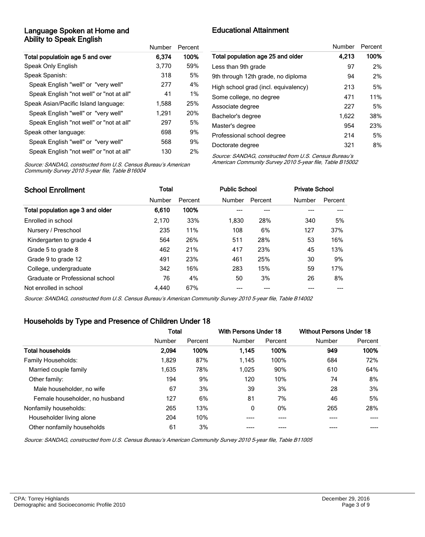#### Language Spoken at Home and Ability to Speak English

|                                          | Number | Percent    |
|------------------------------------------|--------|------------|
| Total populatioin age 5 and over         | 6.374  | 100%       |
| Speak Only English                       | 3,770  | 59%        |
| Speak Spanish:                           | 318    | 5%         |
| Speak English "well" or "very well"      | 277    | 4%         |
| Speak English "not well" or "not at all" | 41     | $1\%$      |
| Speak Asian/Pacific Island language:     | 1,588  | 25%        |
| Speak English "well" or "very well"      | 1.291  | <b>20%</b> |
| Speak English "not well" or "not at all" | 297    | 5%         |
| Speak other language:                    | 698    | 9%         |
| Speak English "well" or "very well"      | 568    | 9%         |
| Speak English "not well" or "not at all" | 130    | 2%         |

## Educational Attainment

|                                      | Number | Percent |
|--------------------------------------|--------|---------|
| Total population age 25 and older    | 4,213  | 100%    |
| Less than 9th grade                  | 97     | 2%      |
| 9th through 12th grade, no diploma   | 94     | 2%      |
| High school grad (incl. equivalency) | 213    | 5%      |
| Some college, no degree              | 471    | 11%     |
| Associate degree                     | 227    | 5%      |
| Bachelor's degree                    | 1,622  | 38%     |
| Master's degree                      | 954    | 23%     |
| Professional school degree           | 214    | 5%      |
| Doctorate degree                     | 321    | 8%      |

Source: SANDAG, constructed from U.S. Census Bureau's American Community Survey 2010 5-year file, Table B16004

Source: SANDAG, constructed from U.S. Census Bureau's American Community Survey 2010 5-year file, Table B15002

| <b>School Enrollment</b>         | Total  |         | <b>Public School</b> |         | <b>Private School</b> |         |
|----------------------------------|--------|---------|----------------------|---------|-----------------------|---------|
|                                  | Number | Percent | <b>Number</b>        | Percent | Number                | Percent |
| Total population age 3 and older | 6,610  | 100%    |                      |         |                       |         |
| Enrolled in school               | 2.170  | 33%     | 1.830                | 28%     | 340                   | 5%      |
| Nursery / Preschool              | 235    | 11%     | 108                  | 6%      | 127                   | 37%     |
| Kindergarten to grade 4          | 564    | 26%     | 511                  | 28%     | 53                    | 16%     |
| Grade 5 to grade 8               | 462    | 21%     | 417                  | 23%     | 45                    | 13%     |
| Grade 9 to grade 12              | 491    | 23%     | 461                  | 25%     | 30                    | 9%      |
| College, undergraduate           | 342    | 16%     | 283                  | 15%     | 59                    | 17%     |
| Graduate or Professional school  | 76     | 4%      | 50                   | 3%      | 26                    | 8%      |
| Not enrolled in school           | 4.440  | 67%     |                      |         |                       |         |

Source: SANDAG, constructed from U.S. Census Bureau's American Community Survey 2010 5-year file, Table B14002

#### Households by Type and Presence of Children Under 18

|                                | Total  |         | With Persons Under 18 |         | <b>Without Persons Under 18</b> |         |
|--------------------------------|--------|---------|-----------------------|---------|---------------------------------|---------|
|                                | Number | Percent | Number                | Percent | Number                          | Percent |
| <b>Total households</b>        | 2,094  | 100%    | 1.145                 | 100%    | 949                             | 100%    |
| Family Households:             | 1,829  | 87%     | 1,145                 | 100%    | 684                             | 72%     |
| Married couple family          | 1.635  | 78%     | 1,025                 | 90%     | 610                             | 64%     |
| Other family:                  | 194    | 9%      | 120                   | 10%     | 74                              | 8%      |
| Male householder, no wife      | 67     | 3%      | 39                    | 3%      | 28                              | 3%      |
| Female householder, no husband | 127    | 6%      | 81                    | 7%      | 46                              | 5%      |
| Nonfamily households:          | 265    | 13%     | 0                     | $0\%$   | 265                             | 28%     |
| Householder living alone       | 204    | 10%     |                       |         | ----                            |         |
| Other nonfamily households     | 61     | 3%      |                       |         |                                 |         |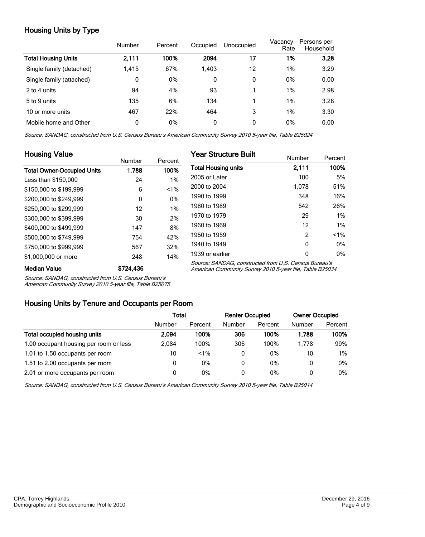## Housing Units by Type

|                          | Number | Percent | Occupied | Unoccupied | Vacancy<br>Rate | Persons per<br>Household |
|--------------------------|--------|---------|----------|------------|-----------------|--------------------------|
| Total Housing Units      | 2,111  | 100%    | 2094     | 17         | 1%              | 3.28                     |
| Single family (detached) | 1,415  | 67%     | 1.403    | 12         | 1%              | 3.29                     |
| Single family (attached) | 0      | 0%      | 0        | 0          | 0%              | 0.00                     |
| 2 to 4 units             | 94     | 4%      | 93       |            | 1%              | 2.98                     |
| 5 to 9 units             | 135    | 6%      | 134      |            | 1%              | 3.28                     |
| 10 or more units         | 467    | 22%     | 464      | 3          | 1%              | 3.30                     |
| Mobile home and Other    | 0      | 0%      | 0        | 0          | 0%              | 0.00                     |

Source: SANDAG, constructed from U.S. Census Bureau's American Community Survey 2010 5-year file, Table B25024

| <b>Housing Value</b>              |           |         | <b>Year Structure Built</b>                                                                                       |        |         |  |
|-----------------------------------|-----------|---------|-------------------------------------------------------------------------------------------------------------------|--------|---------|--|
|                                   | Number    | Percent |                                                                                                                   | Number | Percent |  |
| <b>Total Owner-Occupied Units</b> | 1,788     | 100%    | <b>Total Housing units</b>                                                                                        | 2,111  | 100%    |  |
| Less than \$150,000               | 24        | 1%      | 2005 or Later                                                                                                     | 100    | 5%      |  |
| \$150,000 to \$199,999            | 6         | 1%      | 2000 to 2004                                                                                                      | 1,078  | 51%     |  |
| \$200,000 to \$249.999            | 0         | 0%      | 1990 to 1999                                                                                                      | 348    | 16%     |  |
| \$250,000 to \$299.999            | 12        | 1%      | 1980 to 1989                                                                                                      | 542    | 26%     |  |
| \$300,000 to \$399,999            | 30        | 2%      | 1970 to 1979                                                                                                      | 29     | $1\%$   |  |
| \$400,000 to \$499,999            | 147       | 8%      | 1960 to 1969                                                                                                      | 12     | $1\%$   |  |
| \$500,000 to \$749,999            | 754       | 42%     | 1950 to 1959                                                                                                      | 2      | $1\%$   |  |
| \$750,000 to \$999,999            | 567       | 32%     | 1940 to 1949                                                                                                      | 0      | $0\%$   |  |
| \$1,000,000 or more               | 248       | 14%     | 1939 or earlier                                                                                                   | 0      | $0\%$   |  |
| <b>Median Value</b>               | \$724,436 |         | Source: SANDAG, constructed from U.S. Census Bureau's<br>American Community Survey 2010 5-year file, Table B25034 |        |         |  |

Source: SANDAG, constructed from U.S. Census Bureau's

American Community Survey 2010 5-year file, Table B25075

#### Housing Units by Tenure and Occupants per Room

|                                        | Total  |         | <b>Renter Occupied</b> |         | <b>Owner Occupied</b> |         |
|----------------------------------------|--------|---------|------------------------|---------|-----------------------|---------|
|                                        | Number | Percent | Number                 | Percent | Number                | Percent |
| Total occupied housing units           | 2.094  | 100%    | 306                    | 100%    | 1.788                 | 100%    |
| 1.00 occupant housing per room or less | 2.084  | 100%    | 306                    | 100%    | 1.778                 | 99%     |
| 1.01 to 1.50 occupants per room        | 10     | $< 1\%$ | 0                      | 0%      | 10                    | $1\%$   |
| 1.51 to 2.00 occupants per room        | 0      | 0%      | 0                      | 0%      | 0                     | $0\%$   |
| 2.01 or more occupants per room        | 0      | 0%      | 0                      | 0%      | 0                     | $0\%$   |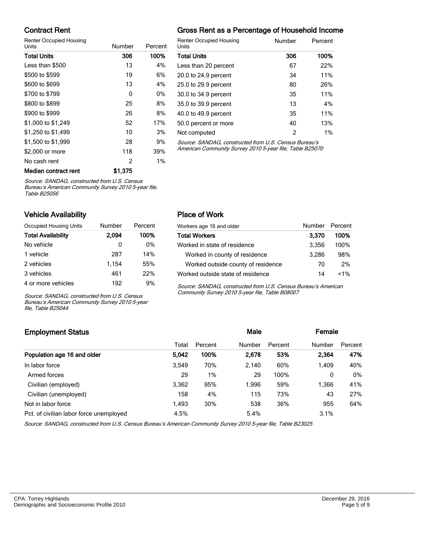### Contract Rent

Renter Occupied Housing

| Units                | Number  | Percent |                          |
|----------------------|---------|---------|--------------------------|
| <b>Total Units</b>   | 306     | 100%    |                          |
| Less than \$500      | 13      | 4%      |                          |
| \$500 to \$599       | 19      | 6%      |                          |
| \$600 to \$699       | 13      | 4%      | '                        |
| \$700 to \$799       | 0       | 0%      | ί                        |
| \$800 to \$899       | 25      | 8%      | ί                        |
| \$900 to \$999       | 26      | 8%      | $\overline{\phantom{a}}$ |
| \$1,000 to \$1,249   | 52      | 17%     | ί                        |
| \$1,250 to \$1,499   | 10      | 3%      | I                        |
| \$1,500 to \$1,999   | 28      | 9%      |                          |
| \$2,000 or more      | 118     | 39%     | I                        |
| No cash rent         | 2       | 1%      |                          |
| Median contract rent | \$1.375 |         |                          |

## Gross Rent as a Percentage of Household Income

| <b>Renter Occupied Housing</b><br>Units               | Number        | Percent |
|-------------------------------------------------------|---------------|---------|
| <b>Total Units</b>                                    | 306           | 100%    |
| Less than 20 percent                                  | 67            | 22%     |
| 20.0 to 24.9 percent                                  | 34            | 11%     |
| 25.0 to 29.9 percent                                  | 80            | 26%     |
| 30.0 to 34.9 percent                                  | 35            | 11%     |
| 35.0 to 39.9 percent                                  | 13            | 4%      |
| 40.0 to 49.9 percent                                  | 35            | 11%     |
| 50.0 percent or more                                  | 40            | 13%     |
| Not computed                                          | $\mathcal{P}$ | 1%      |
| Source: SANDAG, constructed from LLS, Census Bureau's |               |         |

Source: SANDAG, constructed from U.S. Cens American Community Survey 2010 5-year file, Table B25070

Source: SANDAG, constructed from U.S. Census

Bureau's American Community Survey 2010 5-year file, Table B25056

#### Vehicle Availability

| Occupied Housing Units    | Number | Percent |
|---------------------------|--------|---------|
| <b>Total Availability</b> | 2.094  | 100%    |
| No vehicle                | 0      | $0\%$   |
| 1 vehicle                 | 287    | 14%     |
| 2 vehicles                | 1,154  | 55%     |
| 3 vehicles                | 461    | 22%     |
| 4 or more vehicles        | 192    | 9%      |

Source: SANDAG, constructed from U.S. Census Bureau's American Community Survey 2010 5-year file, Table B25044

#### Place of Work

| Workers age 16 and older           | Number Percent |         |
|------------------------------------|----------------|---------|
| <b>Total Workers</b>               | 3.370          | 100%    |
| Worked in state of residence       | 3,356          | 100%    |
| Worked in county of residence      | 3.286          | 98%     |
| Worked outside county of residence | 70             | 2%      |
| Worked outside state of residence  | 14             | $< 1\%$ |

Source: SANDAG, constructed from U.S. Census Bureau's American Community Survey 2010 5-year file, Table B08007

## Employment Status **Employment Status Male Employment Status Male Employment Status Male Employment Status** Total Percent Number Percent Number Percent Population age 16 and older 5,042 100% 2,678 53% 2,364 47% In labor force 3,549 70% 2,140 60% 1,409 40% Armed forces 29 29 1% 29 100% 0 0% Civilian (employed) 3,362 95% 1,996 59% 1,366 41% Civilian (unemployed) 158 4% 115 73% 43 27% Not in labor force **1,493** 30% 538 36% 955 64% Pct. of civilian labor force unemployed  $4.5\%$  5.4% 5.4% 3.1%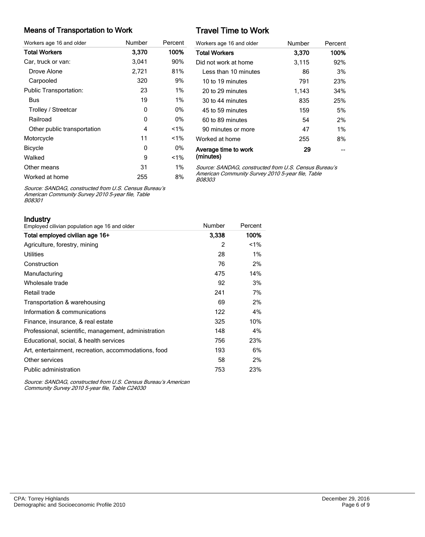#### Means of Transportation to Work

| Workers age 16 and older      | Number | Percent |
|-------------------------------|--------|---------|
| <b>Total Workers</b>          | 3.370  | 100%    |
| Car, truck or van:            | 3,041  | 90%     |
| Drove Alone                   | 2,721  | 81%     |
| Carpooled                     | 320    | 9%      |
| <b>Public Transportation:</b> | 23     | $1\%$   |
| Bus                           | 19     | $1\%$   |
| Trolley / Streetcar           | 0      | 0%      |
| Railroad                      | 0      | 0%      |
| Other public transportation   | 4      | $1\%$   |
| Motorcycle                    | 11     | $< 1\%$ |
| <b>Bicycle</b>                | 0      | 0%      |
| Walked                        | 9      | $1\%$   |
| Other means                   | 31     | $1\%$   |
| Worked at home                | 255    | 8%      |

# Travel Time to Work

| Workers age 16 and older          | Number | Percent |
|-----------------------------------|--------|---------|
| <b>Total Workers</b>              | 3,370  | 100%    |
| Did not work at home              | 3,115  | 92%     |
| I ess than 10 minutes             | 86     | 3%      |
| 10 to 19 minutes                  | 791    | 23%     |
| 20 to 29 minutes                  | 1,143  | 34%     |
| 30 to 44 minutes                  | 835    | 25%     |
| 45 to 59 minutes                  | 159    | 5%      |
| 60 to 89 minutes                  | 54     | 2%      |
| 90 minutes or more                | 47     | $1\%$   |
| Worked at home                    | 255    | 8%      |
| Average time to work<br>(minutes) | 29     |         |

Source: SANDAG, constructed from U.S. Census Bureau's American Community Survey 2010 5-year file, Table B08303

Source: SANDAG, constructed from U.S. Census Bureau's American Community Survey 2010 5-year file, Table B08301

Industry

| II IUUƏLI Y<br>Employed cilivian population age 16 and older | Number | Percent |
|--------------------------------------------------------------|--------|---------|
| Total employed civilian age 16+                              | 3.338  | 100%    |
| Agriculture, forestry, mining                                | 2      | $1\%$   |
| <b>Utilities</b>                                             | 28     | 1%      |
| Construction                                                 | 76     | 2%      |
| Manufacturing                                                | 475    | 14%     |
| Wholesale trade                                              | 92     | 3%      |
| Retail trade                                                 | 241    | 7%      |
| Transportation & warehousing                                 | 69     | 2%      |
| Information & communications                                 | 122    | 4%      |
| Finance, insurance, & real estate                            | 325    | 10%     |
| Professional, scientific, management, administration         | 148    | 4%      |
| Educational, social, & health services                       | 756    | 23%     |
| Art, entertainment, recreation, accommodations, food         | 193    | 6%      |
| Other services                                               | 58     | 2%      |
| Public administration                                        | 753    | 23%     |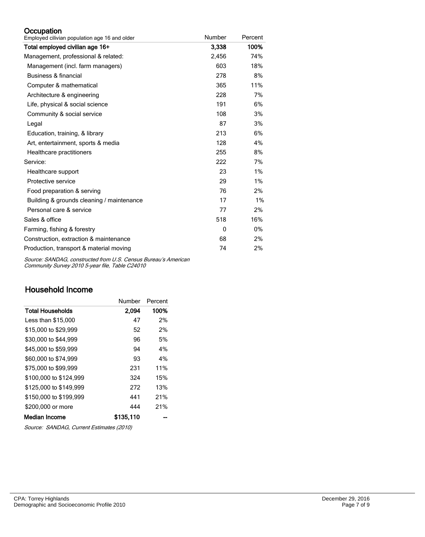#### **Occupation**

| Employed cilivian population age 16 and older | Number | Percent |
|-----------------------------------------------|--------|---------|
| Total employed civilian age 16+               | 3,338  | 100%    |
| Management, professional & related:           | 2,456  | 74%     |
| Management (incl. farm managers)              | 603    | 18%     |
| Business & financial                          | 278    | 8%      |
| Computer & mathematical                       | 365    | 11%     |
| Architecture & engineering                    | 228    | 7%      |
| Life, physical & social science               | 191    | 6%      |
| Community & social service                    | 108    | 3%      |
| Legal                                         | 87     | 3%      |
| Education, training, & library                | 213    | 6%      |
| Art, entertainment, sports & media            | 128    | 4%      |
| Healthcare practitioners                      | 255    | 8%      |
| Service:                                      | 222    | 7%      |
| Healthcare support                            | 23     | 1%      |
| Protective service                            | 29     | 1%      |
| Food preparation & serving                    | 76     | 2%      |
| Building & grounds cleaning / maintenance     | 17     | 1%      |
| Personal care & service                       | 77     | 2%      |
| Sales & office                                | 518    | 16%     |
| Farming, fishing & forestry                   | 0      | $0\%$   |
| Construction, extraction & maintenance        | 68     | 2%      |
| Production, transport & material moving       | 74     | 2%      |

Source: SANDAG, constructed from U.S. Census Bureau's American Community Survey 2010 5-year file, Table C24010

## Household Income

|                         | Number    | Percent |
|-------------------------|-----------|---------|
| <b>Total Households</b> | 2,094     | 100%    |
| Less than \$15,000      | 47        | 2%      |
| \$15,000 to \$29,999    | 52        | 2%      |
| \$30,000 to \$44,999    | 96        | 5%      |
| \$45,000 to \$59,999    | 94        | 4%      |
| \$60,000 to \$74,999    | 93        | 4%      |
| \$75,000 to \$99.999    | 231       | 11%     |
| \$100,000 to \$124.999  | 324       | 15%     |
| \$125,000 to \$149,999  | 272       | 13%     |
| \$150,000 to \$199.999  | 441       | 21%     |
| \$200,000 or more       | 444       | 21%     |
| <b>Median Income</b>    | \$135.110 |         |

Source: SANDAG, Current Estimates (2010)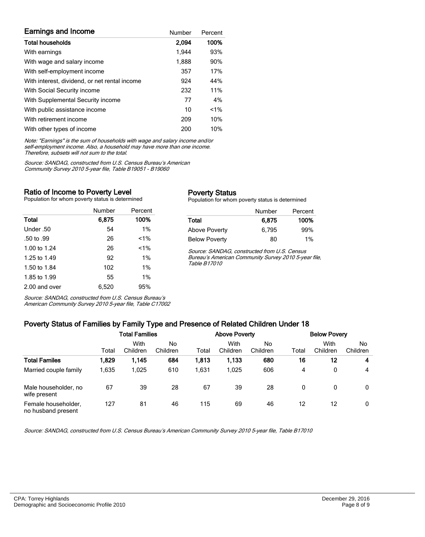| <b>Earnings and Income</b>                    | Number | Percent |
|-----------------------------------------------|--------|---------|
| <b>Total households</b>                       | 2,094  | 100%    |
| With earnings                                 | 1.944  | 93%     |
| With wage and salary income                   | 1,888  | 90%     |
| With self-employment income                   | 357    | 17%     |
| With interest, dividend, or net rental income | 924    | 44%     |
| With Social Security income                   | 232    | 11%     |
| With Supplemental Security income             | 77     | 4%      |
| With public assistance income                 | 10     | $< 1\%$ |
| With retirement income                        | 209    | 10%     |
| With other types of income                    | 200    | 10%     |

Note: "Earnings" is the sum of households with wage and salary income and/or self-employment income. Also, a household may have more than one income. Therefore, subsets will not sum to the total.

Source: SANDAG, constructed from U.S. Census Bureau's American Community Survey 2010 5-year file, Table B19051 - B19060

#### Ratio of Income to Poverty Level

Population for whom poverty status is determined

|               | Number | Percent |
|---------------|--------|---------|
| Total         | 6.875  | 100%    |
| Under .50     | 54     | $1\%$   |
| .50 to .99    | 26     | $< 1\%$ |
| 1.00 to 1.24  | 26     | $1\%$   |
| 1.25 to 1.49  | 92     | 1%      |
| 1.50 to 1.84  | 102    | 1%      |
| 1.85 to 1.99  | 55     | 1%      |
| 2.00 and over | 6,520  | 95%     |

Source: SANDAG, constructed from U.S. Census Bureau's American Community Survey 2010 5-year file, Table C17002

#### Poverty Status

Population for whom poverty status is determined

|                      | Number | Percent |
|----------------------|--------|---------|
| Total                | 6,875  | 100%    |
| <b>Above Poverty</b> | 6.795  | 99%     |
| <b>Below Poverty</b> | 80     | $1\%$   |

Source: SANDAG, constructed from U.S. Census Bureau's American Community Survey 2010 5-year file, Table B17010

# Poverty Status of Families by Family Type and Presence of Related Children Under 18

|                                           | <b>Total Families</b> |                  |                | <b>Above Poverty</b> |                  |                 | <b>Below Povery</b> |                  |                |  |
|-------------------------------------------|-----------------------|------------------|----------------|----------------------|------------------|-----------------|---------------------|------------------|----------------|--|
|                                           | Total                 | With<br>Children | No<br>Children | Total                | With<br>Children | No.<br>Children | Total               | With<br>Children | No<br>Children |  |
| <b>Total Familes</b>                      | 1,829                 | 1,145            | 684            | 1,813                | 1,133            | 680             | 16                  | 12               | 4              |  |
| Married couple family                     | 1.635                 | 1.025            | 610            | 1.631                | 1.025            | 606             | 4                   | 0                | 4              |  |
| Male householder, no<br>wife present      | 67                    | 39               | 28             | 67                   | 39               | 28              | 0                   | 0                | 0              |  |
| Female householder,<br>no husband present | 127                   | 81               | 46             | 115                  | 69               | 46              | 12                  | 12               | 0              |  |